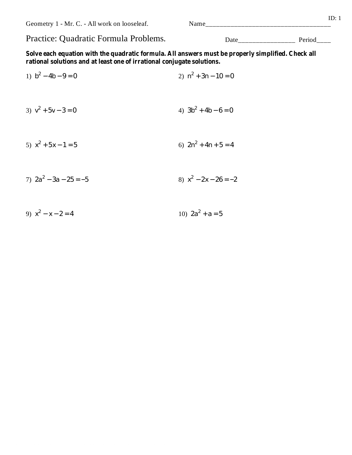Geometry 1 - Mr. C. - All work on looseleaf.

## Practice: Quadratic Formula Problems.

Solve each equation with the quadratic formula. All answers must be properly simplified. Check all rational solutions and at least one of irrational conjugate solutions.

- 1)  $b^2 4b 9 = 0$ 2)  $n^2 + 3n - 10 = 0$ 3)  $v^2 + 5v - 3 = 0$ 4)  $3b^2 + 4b - 6 = 0$ 5)  $x^2 + 5x - 1 = 5$ 6)  $2n^2 + 4n + 5 = 4$
- 7)  $2a^2 3a 25 = -5$ 8)  $x^2 - 2x - 26 = -2$
- 9)  $x^2 x 2 = 4$ 10)  $2a^2 + a = 5$

Date Period